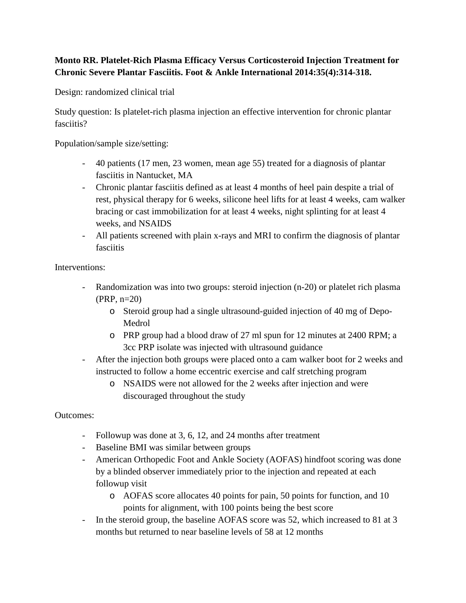## **Monto RR. Platelet-Rich Plasma Efficacy Versus Corticosteroid Injection Treatment for Chronic Severe Plantar Fasciitis. Foot & Ankle International 2014:35(4):314-318.**

Design: randomized clinical trial

Study question: Is platelet-rich plasma injection an effective intervention for chronic plantar fasciitis?

Population/sample size/setting:

- 40 patients (17 men, 23 women, mean age 55) treated for a diagnosis of plantar fasciitis in Nantucket, MA
- Chronic plantar fasciitis defined as at least 4 months of heel pain despite a trial of rest, physical therapy for 6 weeks, silicone heel lifts for at least 4 weeks, cam walker bracing or cast immobilization for at least 4 weeks, night splinting for at least 4 weeks, and NSAIDS
- All patients screened with plain x-rays and MRI to confirm the diagnosis of plantar fasciitis

Interventions:

- Randomization was into two groups: steroid injection (n-20) or platelet rich plasma (PRP, n=20)
	- o Steroid group had a single ultrasound-guided injection of 40 mg of Depo-Medrol
	- o PRP group had a blood draw of 27 ml spun for 12 minutes at 2400 RPM; a 3cc PRP isolate was injected with ultrasound guidance
- After the injection both groups were placed onto a cam walker boot for 2 weeks and instructed to follow a home eccentric exercise and calf stretching program
	- o NSAIDS were not allowed for the 2 weeks after injection and were discouraged throughout the study

Outcomes:

- Followup was done at 3, 6, 12, and 24 months after treatment
- Baseline BMI was similar between groups
- American Orthopedic Foot and Ankle Society (AOFAS) hindfoot scoring was done by a blinded observer immediately prior to the injection and repeated at each followup visit
	- o AOFAS score allocates 40 points for pain, 50 points for function, and 10 points for alignment, with 100 points being the best score
- In the steroid group, the baseline AOFAS score was 52, which increased to 81 at 3 months but returned to near baseline levels of 58 at 12 months